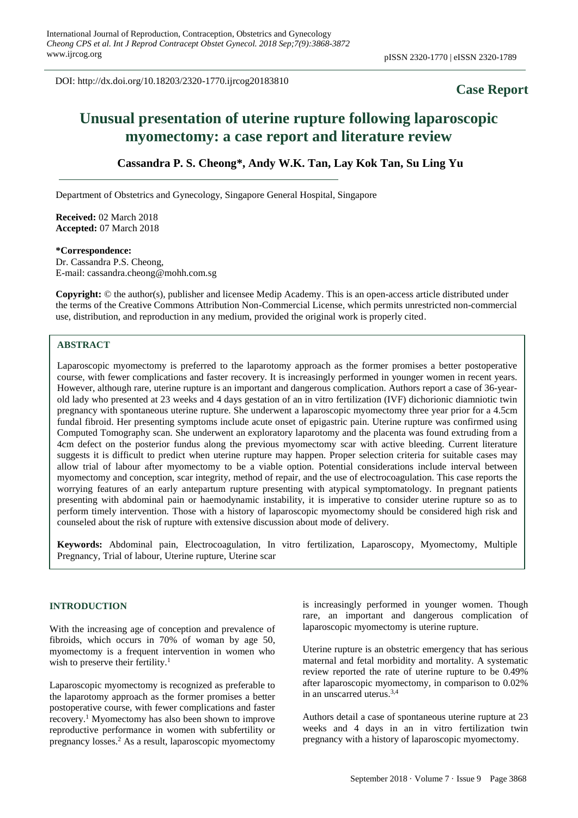DOI: http://dx.doi.org/10.18203/2320-1770.ijrcog20183810

# **Case Report**

# **Unusual presentation of uterine rupture following laparoscopic myomectomy: a case report and literature review**

# **Cassandra P. S. Cheong\*, Andy W.K. Tan, Lay Kok Tan, Su Ling Yu**

Department of Obstetrics and Gynecology, Singapore General Hospital, Singapore

**Received:** 02 March 2018 **Accepted:** 07 March 2018

#### **\*Correspondence:**

Dr. Cassandra P.S. Cheong, E-mail: cassandra.cheong@mohh.com.sg

**Copyright:** © the author(s), publisher and licensee Medip Academy. This is an open-access article distributed under the terms of the Creative Commons Attribution Non-Commercial License, which permits unrestricted non-commercial use, distribution, and reproduction in any medium, provided the original work is properly cited.

# **ABSTRACT**

Laparoscopic myomectomy is preferred to the laparotomy approach as the former promises a better postoperative course, with fewer complications and faster recovery. It is increasingly performed in younger women in recent years. However, although rare, uterine rupture is an important and dangerous complication. Authors report a case of 36-yearold lady who presented at 23 weeks and 4 days gestation of an in vitro fertilization (IVF) dichorionic diamniotic twin pregnancy with spontaneous uterine rupture. She underwent a laparoscopic myomectomy three year prior for a 4.5cm fundal fibroid. Her presenting symptoms include acute onset of epigastric pain. Uterine rupture was confirmed using Computed Tomography scan. She underwent an exploratory laparotomy and the placenta was found extruding from a 4cm defect on the posterior fundus along the previous myomectomy scar with active bleeding. Current literature suggests it is difficult to predict when uterine rupture may happen. Proper selection criteria for suitable cases may allow trial of labour after myomectomy to be a viable option. Potential considerations include interval between myomectomy and conception, scar integrity, method of repair, and the use of electrocoagulation. This case reports the worrying features of an early antepartum rupture presenting with atypical symptomatology. In pregnant patients presenting with abdominal pain or haemodynamic instability, it is imperative to consider uterine rupture so as to perform timely intervention. Those with a history of laparoscopic myomectomy should be considered high risk and counseled about the risk of rupture with extensive discussion about mode of delivery.

**Keywords:** Abdominal pain, Electrocoagulation, In vitro fertilization, Laparoscopy, Myomectomy, Multiple Pregnancy, Trial of labour, Uterine rupture, Uterine scar

### **INTRODUCTION**

With the increasing age of conception and prevalence of fibroids, which occurs in 70% of woman by age 50, myomectomy is a frequent intervention in women who wish to preserve their fertility.<sup>1</sup>

Laparoscopic myomectomy is recognized as preferable to the laparotomy approach as the former promises a better postoperative course, with fewer complications and faster recovery.<sup>1</sup> Myomectomy has also been shown to improve reproductive performance in women with subfertility or pregnancy losses.<sup>2</sup> As a result, laparoscopic myomectomy is increasingly performed in younger women. Though rare, an important and dangerous complication of laparoscopic myomectomy is uterine rupture.

Uterine rupture is an obstetric emergency that has serious maternal and fetal morbidity and mortality. A systematic review reported the rate of uterine rupture to be 0.49% after laparoscopic myomectomy, in comparison to 0.02% in an unscarred uterus.3,4

Authors detail a case of spontaneous uterine rupture at 23 weeks and 4 days in an in vitro fertilization twin pregnancy with a history of laparoscopic myomectomy.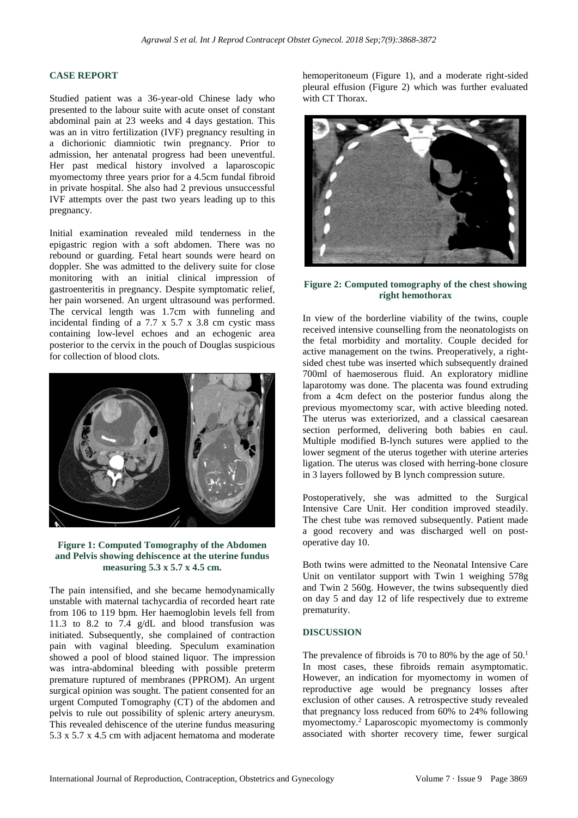#### **CASE REPORT**

Studied patient was a 36-year-old Chinese lady who presented to the labour suite with acute onset of constant abdominal pain at 23 weeks and 4 days gestation. This was an in vitro fertilization (IVF) pregnancy resulting in a dichorionic diamniotic twin pregnancy. Prior to admission, her antenatal progress had been uneventful. Her past medical history involved a laparoscopic myomectomy three years prior for a 4.5cm fundal fibroid in private hospital. She also had 2 previous unsuccessful IVF attempts over the past two years leading up to this pregnancy.

Initial examination revealed mild tenderness in the epigastric region with a soft abdomen. There was no rebound or guarding. Fetal heart sounds were heard on doppler. She was admitted to the delivery suite for close monitoring with an initial clinical impression of gastroenteritis in pregnancy. Despite symptomatic relief, her pain worsened. An urgent ultrasound was performed. The cervical length was 1.7cm with funneling and incidental finding of a 7.7 x 5.7 x 3.8 cm cystic mass containing low-level echoes and an echogenic area posterior to the cervix in the pouch of Douglas suspicious for collection of blood clots.



#### **Figure 1: Computed Tomography of the Abdomen and Pelvis showing dehiscence at the uterine fundus measuring 5.3 x 5.7 x 4.5 cm.**

The pain intensified, and she became hemodynamically unstable with maternal tachycardia of recorded heart rate from 106 to 119 bpm. Her haemoglobin levels fell from 11.3 to 8.2 to  $7.4$  g/dL and blood transfusion was initiated. Subsequently, she complained of contraction pain with vaginal bleeding. Speculum examination showed a pool of blood stained liquor. The impression was intra-abdominal bleeding with possible preterm premature ruptured of membranes (PPROM). An urgent surgical opinion was sought. The patient consented for an urgent Computed Tomography (CT) of the abdomen and pelvis to rule out possibility of splenic artery aneurysm. This revealed dehiscence of the uterine fundus measuring 5.3 x 5.7 x 4.5 cm with adjacent hematoma and moderate hemoperitoneum (Figure 1), and a moderate right-sided pleural effusion (Figure 2) which was further evaluated with CT Thorax.



#### **Figure 2: Computed tomography of the chest showing right hemothorax**

In view of the borderline viability of the twins, couple received intensive counselling from the neonatologists on the fetal morbidity and mortality. Couple decided for active management on the twins. Preoperatively, a rightsided chest tube was inserted which subsequently drained 700ml of haemoserous fluid. An exploratory midline laparotomy was done. The placenta was found extruding from a 4cm defect on the posterior fundus along the previous myomectomy scar, with active bleeding noted. The uterus was exteriorized, and a classical caesarean section performed, delivering both babies en caul. Multiple modified B-lynch sutures were applied to the lower segment of the uterus together with uterine arteries ligation. The uterus was closed with herring-bone closure in 3 layers followed by B lynch compression suture.

Postoperatively, she was admitted to the Surgical Intensive Care Unit. Her condition improved steadily. The chest tube was removed subsequently. Patient made a good recovery and was discharged well on postoperative day 10.

Both twins were admitted to the Neonatal Intensive Care Unit on ventilator support with Twin 1 weighing 578g and Twin 2 560g. However, the twins subsequently died on day 5 and day 12 of life respectively due to extreme prematurity.

#### **DISCUSSION**

The prevalence of fibroids is 70 to 80% by the age of  $50<sup>1</sup>$ In most cases, these fibroids remain asymptomatic. However, an indication for myomectomy in women of reproductive age would be pregnancy losses after exclusion of other causes. A retrospective study revealed that pregnancy loss reduced from 60% to 24% following myomectomy.<sup>2</sup> Laparoscopic myomectomy is commonly associated with shorter recovery time, fewer surgical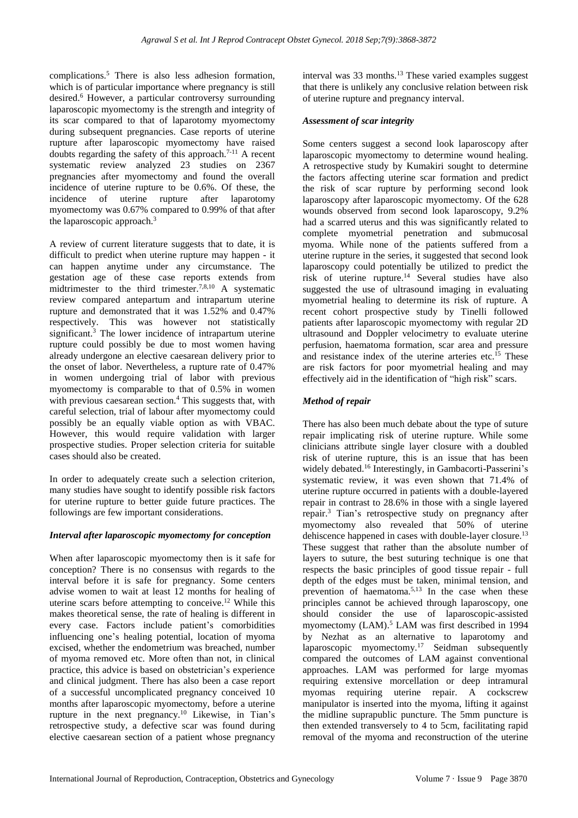complications.<sup>5</sup> There is also less adhesion formation, which is of particular importance where pregnancy is still desired.<sup>6</sup> However, a particular controversy surrounding laparoscopic myomectomy is the strength and integrity of its scar compared to that of laparotomy myomectomy during subsequent pregnancies. Case reports of uterine rupture after laparoscopic myomectomy have raised doubts regarding the safety of this approach.7-11 A recent systematic review analyzed 23 studies on 2367 pregnancies after myomectomy and found the overall incidence of uterine rupture to be 0.6%. Of these, the incidence of uterine rupture after laparotomy myomectomy was 0.67% compared to 0.99% of that after the laparoscopic approach.<sup>3</sup>

A review of current literature suggests that to date, it is difficult to predict when uterine rupture may happen - it can happen anytime under any circumstance. The gestation age of these case reports extends from midtrimester to the third trimester.<sup>7,8,10</sup> A systematic review compared antepartum and intrapartum uterine rupture and demonstrated that it was 1.52% and 0.47% respectively. This was however not statistically significant.<sup>3</sup> The lower incidence of intrapartum uterine rupture could possibly be due to most women having already undergone an elective caesarean delivery prior to the onset of labor. Nevertheless, a rupture rate of 0.47% in women undergoing trial of labor with previous myomectomy is comparable to that of 0.5% in women with previous caesarean section. $4$  This suggests that, with careful selection, trial of labour after myomectomy could possibly be an equally viable option as with VBAC. However, this would require validation with larger prospective studies. Proper selection criteria for suitable cases should also be created.

In order to adequately create such a selection criterion, many studies have sought to identify possible risk factors for uterine rupture to better guide future practices. The followings are few important considerations.

## *Interval after laparoscopic myomectomy for conception*

When after laparoscopic myomectomy then is it safe for conception? There is no consensus with regards to the interval before it is safe for pregnancy. Some centers advise women to wait at least 12 months for healing of uterine scars before attempting to conceive.<sup>12</sup> While this makes theoretical sense, the rate of healing is different in every case. Factors include patient's comorbidities influencing one's healing potential, location of myoma excised, whether the endometrium was breached, number of myoma removed etc. More often than not, in clinical practice, this advice is based on obstetrician's experience and clinical judgment. There has also been a case report of a successful uncomplicated pregnancy conceived 10 months after laparoscopic myomectomy, before a uterine rupture in the next pregnancy.<sup>10</sup> Likewise, in Tian's retrospective study, a defective scar was found during elective caesarean section of a patient whose pregnancy interval was 33 months.<sup>13</sup> These varied examples suggest that there is unlikely any conclusive relation between risk of uterine rupture and pregnancy interval.

# *Assessment of scar integrity*

Some centers suggest a second look laparoscopy after laparoscopic myomectomy to determine wound healing. A retrospective study by Kumakiri sought to determine the factors affecting uterine scar formation and predict the risk of scar rupture by performing second look laparoscopy after laparoscopic myomectomy. Of the 628 wounds observed from second look laparoscopy, 9.2% had a scarred uterus and this was significantly related to complete myometrial penetration and submucosal myoma. While none of the patients suffered from a uterine rupture in the series, it suggested that second look laparoscopy could potentially be utilized to predict the risk of uterine rupture.<sup>14</sup> Several studies have also suggested the use of ultrasound imaging in evaluating myometrial healing to determine its risk of rupture. A recent cohort prospective study by Tinelli followed patients after laparoscopic myomectomy with regular 2D ultrasound and Doppler velocimetry to evaluate uterine perfusion, haematoma formation, scar area and pressure and resistance index of the uterine arteries etc.<sup>15</sup> These are risk factors for poor myometrial healing and may effectively aid in the identification of "high risk" scars.

# *Method of repair*

There has also been much debate about the type of suture repair implicating risk of uterine rupture. While some clinicians attribute single layer closure with a doubled risk of uterine rupture, this is an issue that has been widely debated.<sup>16</sup> Interestingly, in Gambacorti-Passerini's systematic review, it was even shown that 71.4% of uterine rupture occurred in patients with a double-layered repair in contrast to 28.6% in those with a single layered repair.<sup>3</sup> Tian's retrospective study on pregnancy after myomectomy also revealed that 50% of uterine dehiscence happened in cases with double-layer closure.<sup>13</sup> These suggest that rather than the absolute number of layers to suture, the best suturing technique is one that respects the basic principles of good tissue repair - full depth of the edges must be taken, minimal tension, and prevention of haematoma.5,13 In the case when these principles cannot be achieved through laparoscopy, one should consider the use of laparoscopic-assisted myomectomy (LAM).<sup>5</sup> LAM was first described in 1994 by Nezhat as an alternative to laparotomy and laparoscopic myomectomy.<sup>17</sup> Seidman subsequently compared the outcomes of LAM against conventional approaches. LAM was performed for large myomas requiring extensive morcellation or deep intramural myomas requiring uterine repair. A cockscrew manipulator is inserted into the myoma, lifting it against the midline suprapublic puncture. The 5mm puncture is then extended transversely to 4 to 5cm, facilitating rapid removal of the myoma and reconstruction of the uterine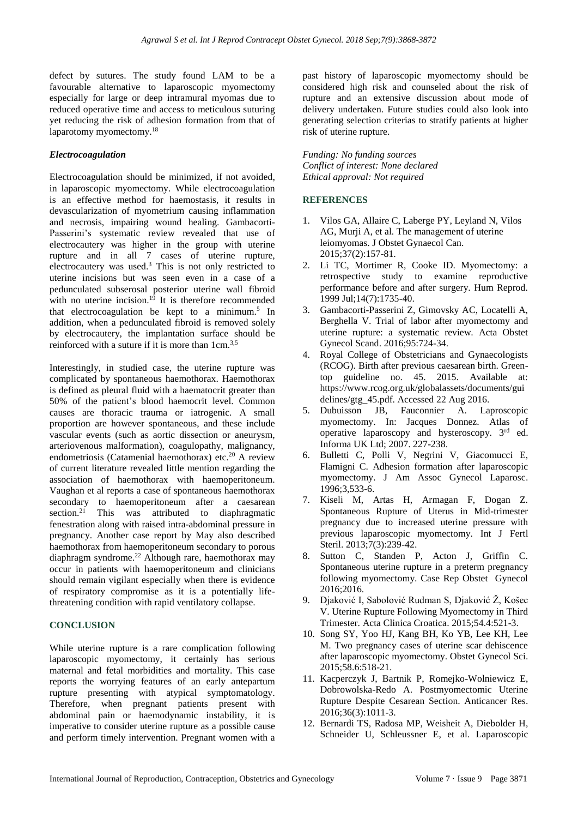defect by sutures. The study found LAM to be a favourable alternative to laparoscopic myomectomy especially for large or deep intramural myomas due to reduced operative time and access to meticulous suturing yet reducing the risk of adhesion formation from that of laparotomy myomectomy.<sup>18</sup>

## *Electrocoagulation*

Electrocoagulation should be minimized, if not avoided, in laparoscopic myomectomy. While electrocoagulation is an effective method for haemostasis, it results in devascularization of myometrium causing inflammation and necrosis, impairing wound healing. Gambacorti-Passerini's systematic review revealed that use of electrocautery was higher in the group with uterine rupture and in all 7 cases of uterine rupture, electrocautery was used.<sup>3</sup> This is not only restricted to uterine incisions but was seen even in a case of a pedunculated subserosal posterior uterine wall fibroid with no uterine incision.<sup>19</sup> It is therefore recommended that electrocoagulation be kept to a minimum.<sup>5</sup> In addition, when a pedunculated fibroid is removed solely by electrocautery, the implantation surface should be reinforced with a suture if it is more than 1cm.<sup>3,5</sup>

Interestingly, in studied case, the uterine rupture was complicated by spontaneous haemothorax. Haemothorax is defined as pleural fluid with a haematocrit greater than 50% of the patient's blood haemocrit level. Common causes are thoracic trauma or iatrogenic. A small proportion are however spontaneous, and these include vascular events (such as aortic dissection or aneurysm, arteriovenous malformation), coagulopathy, malignancy, endometriosis (Catamenial haemothorax) etc.<sup>20</sup> A review of current literature revealed little mention regarding the association of haemothorax with haemoperitoneum. Vaughan et al reports a case of spontaneous haemothorax secondary to haemoperitoneum after a caesarean section.<sup>21</sup> This was attributed to diaphragmatic fenestration along with raised intra-abdominal pressure in pregnancy. Another case report by May also described haemothorax from haemoperitoneum secondary to porous diaphragm syndrome. <sup>22</sup> Although rare, haemothorax may occur in patients with haemoperitoneum and clinicians should remain vigilant especially when there is evidence of respiratory compromise as it is a potentially lifethreatening condition with rapid ventilatory collapse.

## **CONCLUSION**

While uterine rupture is a rare complication following laparoscopic myomectomy, it certainly has serious maternal and fetal morbidities and mortality. This case reports the worrying features of an early antepartum rupture presenting with atypical symptomatology. Therefore, when pregnant patients present with abdominal pain or haemodynamic instability, it is imperative to consider uterine rupture as a possible cause and perform timely intervention. Pregnant women with a past history of laparoscopic myomectomy should be considered high risk and counseled about the risk of rupture and an extensive discussion about mode of delivery undertaken. Future studies could also look into generating selection criterias to stratify patients at higher risk of uterine rupture.

*Funding: No funding sources Conflict of interest: None declared Ethical approval: Not required*

# **REFERENCES**

- 1. Vilos GA, Allaire C, Laberge PY, Leyland N, Vilos AG, Murji A, et al. The management of uterine leiomyomas. J Obstet Gynaecol Can. 2015;37(2):157-81.
- 2. Li TC, Mortimer R, Cooke ID. Myomectomy: a retrospective study to examine reproductive performance before and after surgery. Hum Reprod. 1999 Jul;14(7):1735-40.
- 3. Gambacorti-Passerini Z, Gimovsky AC, Locatelli A, Berghella V. Trial of labor after myomectomy and uterine rupture: a systematic review. Acta Obstet Gynecol Scand. 2016;95:724-34.
- 4. Royal College of Obstetricians and Gynaecologists (RCOG). Birth after previous caesarean birth. Greentop guideline no. 45. 2015. Available at: https://www.rcog.org.uk/globalassets/documents/gui delines/gtg 45.pdf. Accessed 22 Aug 2016.
- 5. Dubuisson JB, Fauconnier A. Laproscopic myomectomy. In: Jacques Donnez. Atlas of operative laparoscopy and hysteroscopy. 3rd ed. Informa UK Ltd; 2007. 227-238.
- 6. Bulletti C, Polli V, Negrini V, Giacomucci E, Flamigni C. Adhesion formation after laparoscopic myomectomy. J Am Assoc Gynecol Laparosc. 1996;3,533-6.
- 7. Kiseli M, Artas H, Armagan F, Dogan Z. Spontaneous Rupture of Uterus in Mid-trimester pregnancy due to increased uterine pressure with previous laparoscopic myomectomy. Int J Fertl Steril. 2013;7(3):239-42.
- 8. Sutton C, Standen P, Acton J, Griffin C. Spontaneous uterine rupture in a preterm pregnancy following myomectomy. Case Rep Obstet Gynecol 2016;2016.
- 9. Djaković I, Sabolović Rudman S, Djaković Ž, Košec V. Uterine Rupture Following Myomectomy in Third Trimester. Acta Clinica Croatica. 2015;54.4:521-3.
- 10. Song SY, Yoo HJ, Kang BH, Ko YB, Lee KH, Lee M. Two pregnancy cases of uterine scar dehiscence after laparoscopic myomectomy. Obstet Gynecol Sci. 2015;58.6:518-21.
- 11. Kacperczyk J, Bartnik P, Romejko-Wolniewicz E, Dobrowolska-Redo A. Postmyomectomic Uterine Rupture Despite Cesarean Section. Anticancer Res. 2016;36(3):1011-3.
- 12. Bernardi TS, Radosa MP, Weisheit A, Diebolder H, Schneider U, Schleussner E, et al. Laparoscopic